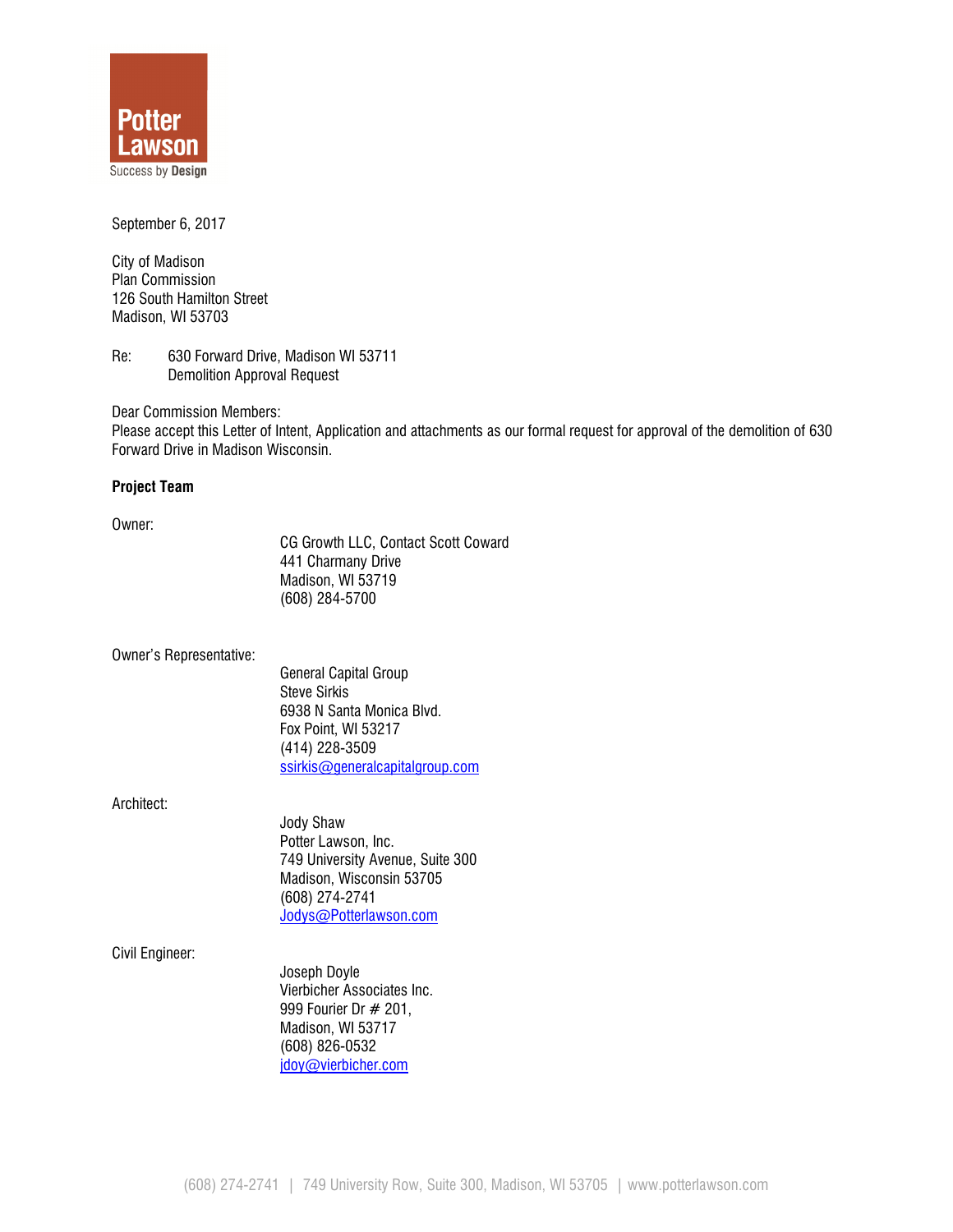

September 6, 2017

City of Madison Plan Commission 126 South Hamilton Street Madison, WI 53703

Re: 630 Forward Drive, Madison WI 53711 Demolition Approval Request

Dear Commission Members: Please accept this Letter of Intent, Application and attachments as our formal request for approval of the demolition of 630 Forward Drive in Madison Wisconsin.

# Project Team

Owner:

CG Growth LLC, Contact Scott Coward 441 Charmany Drive Madison, WI 53719 (608) 284-5700

Owner's Representative:

 General Capital Group Steve Sirkis 6938 N Santa Monica Blvd. Fox Point, WI 53217 (414) 228-3509 ssirkis@generalcapitalgroup.com

Architect:

Jody Shaw Potter Lawson, Inc. 749 University Avenue, Suite 300 Madison, Wisconsin 53705 (608) 274-2741 Jodys@Potterlawson.com

Civil Engineer:

Joseph Doyle Vierbicher Associates Inc. 999 Fourier Dr # 201, Madison, WI 53717 (608) 826-0532 jdoy@vierbicher.com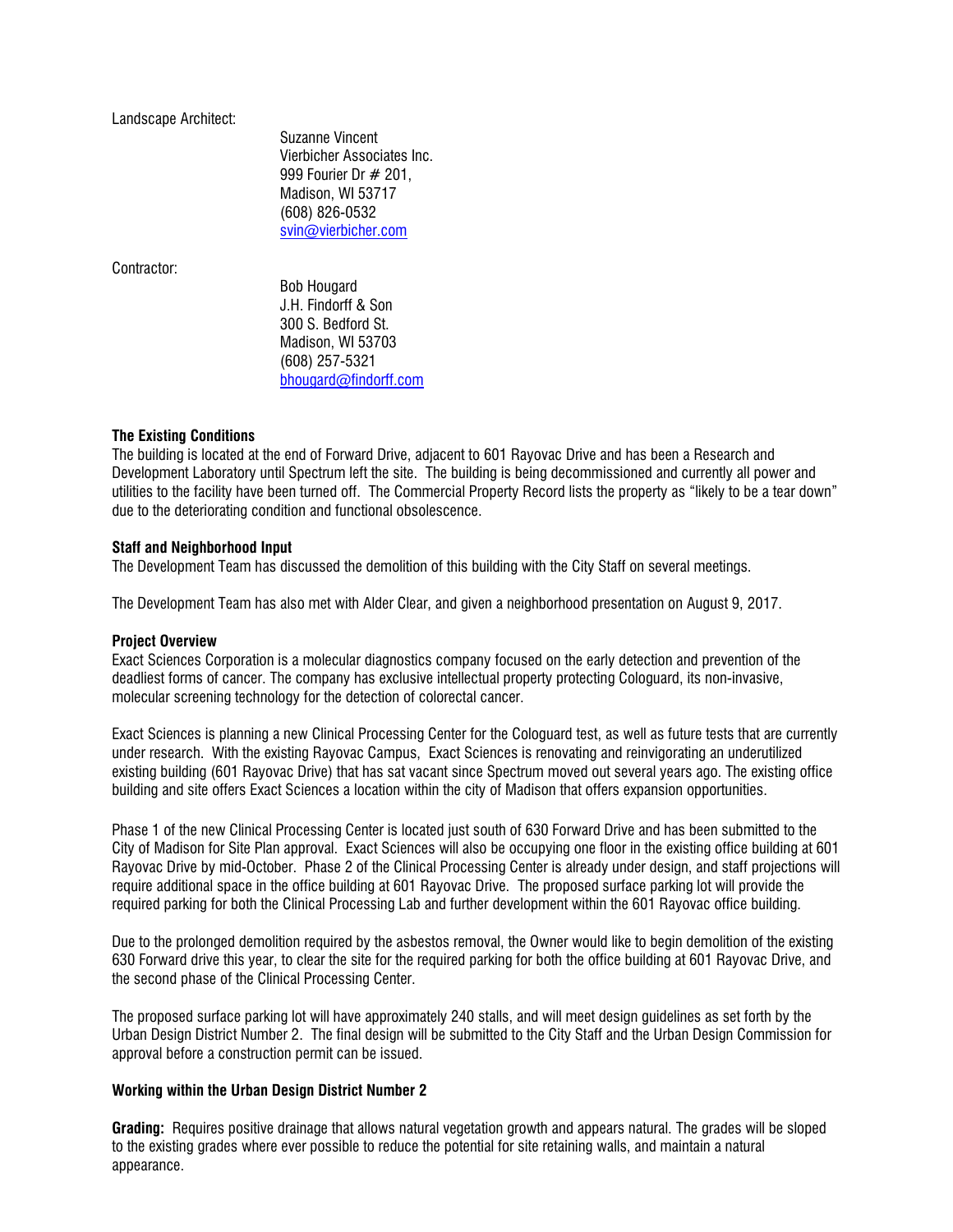Landscape Architect:

Suzanne Vincent Vierbicher Associates Inc. 999 Fourier Dr # 201, Madison, WI 53717 (608) 826-0532 svin@vierbicher.com

Contractor:

Bob Hougard J.H. Findorff & Son 300 S. Bedford St. Madison, WI 53703 (608) 257-5321 bhougard@findorff.com

### The Existing Conditions

The building is located at the end of Forward Drive, adjacent to 601 Rayovac Drive and has been a Research and Development Laboratory until Spectrum left the site. The building is being decommissioned and currently all power and utilities to the facility have been turned off. The Commercial Property Record lists the property as "likely to be a tear down" due to the deteriorating condition and functional obsolescence.

# Staff and Neighborhood Input

The Development Team has discussed the demolition of this building with the City Staff on several meetings.

The Development Team has also met with Alder Clear, and given a neighborhood presentation on August 9, 2017.

### Project Overview

Exact Sciences Corporation is a molecular diagnostics company focused on the early detection and prevention of the deadliest forms of cancer. The company has exclusive intellectual property protecting Cologuard, its non-invasive, molecular screening technology for the detection of colorectal cancer.

Exact Sciences is planning a new Clinical Processing Center for the Cologuard test, as well as future tests that are currently under research. With the existing Rayovac Campus, Exact Sciences is renovating and reinvigorating an underutilized existing building (601 Rayovac Drive) that has sat vacant since Spectrum moved out several years ago. The existing office building and site offers Exact Sciences a location within the city of Madison that offers expansion opportunities.

Phase 1 of the new Clinical Processing Center is located just south of 630 Forward Drive and has been submitted to the City of Madison for Site Plan approval. Exact Sciences will also be occupying one floor in the existing office building at 601 Rayovac Drive by mid-October. Phase 2 of the Clinical Processing Center is already under design, and staff projections will require additional space in the office building at 601 Rayovac Drive. The proposed surface parking lot will provide the required parking for both the Clinical Processing Lab and further development within the 601 Rayovac office building.

Due to the prolonged demolition required by the asbestos removal, the Owner would like to begin demolition of the existing 630 Forward drive this year, to clear the site for the required parking for both the office building at 601 Rayovac Drive, and the second phase of the Clinical Processing Center.

The proposed surface parking lot will have approximately 240 stalls, and will meet design guidelines as set forth by the Urban Design District Number 2. The final design will be submitted to the City Staff and the Urban Design Commission for approval before a construction permit can be issued.

### Working within the Urban Design District Number 2

Grading: Requires positive drainage that allows natural vegetation growth and appears natural. The grades will be sloped to the existing grades where ever possible to reduce the potential for site retaining walls, and maintain a natural appearance.